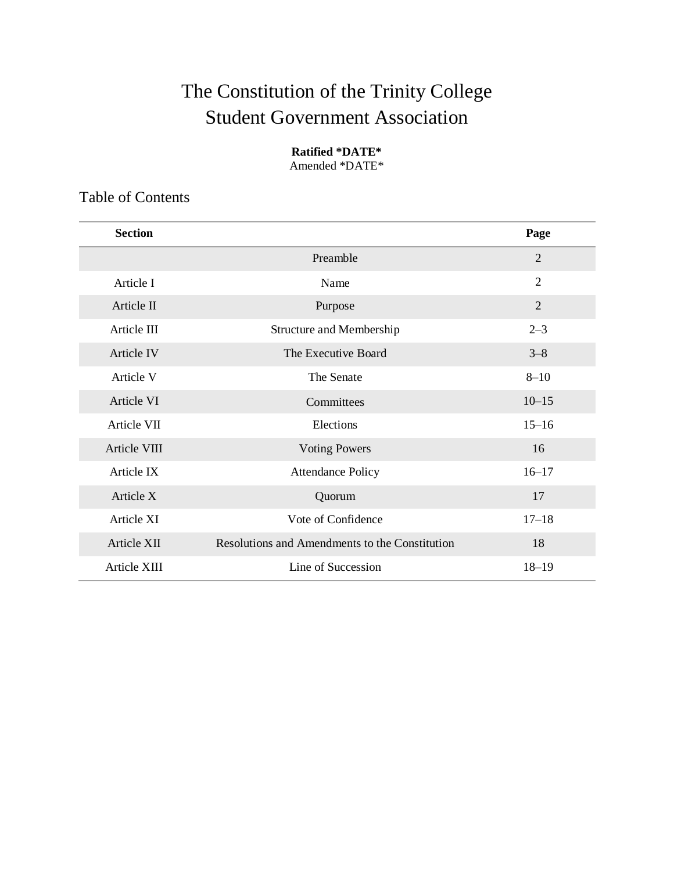# The Constitution of the Trinity College Student Government Association

### **Ratified \*DATE\***

Amended \*DATE\*

Table of Contents

| <b>Section</b> |                                                | Page           |
|----------------|------------------------------------------------|----------------|
|                | Preamble                                       | 2              |
| Article I      | Name                                           | $\overline{2}$ |
| Article II     | Purpose                                        | $\overline{2}$ |
| Article III    | Structure and Membership                       | $2 - 3$        |
| Article IV     | The Executive Board                            | $3 - 8$        |
| Article V      | The Senate                                     | $8 - 10$       |
| Article VI     | Committees                                     | $10 - 15$      |
| Article VII    | Elections                                      | $15 - 16$      |
| Article VIII   | <b>Voting Powers</b>                           | 16             |
| Article IX     | <b>Attendance Policy</b>                       | $16 - 17$      |
| Article X      | Quorum                                         | 17             |
| Article XI     | Vote of Confidence                             | $17 - 18$      |
| Article XII    | Resolutions and Amendments to the Constitution | 18             |
| Article XIII   | Line of Succession                             | $18 - 19$      |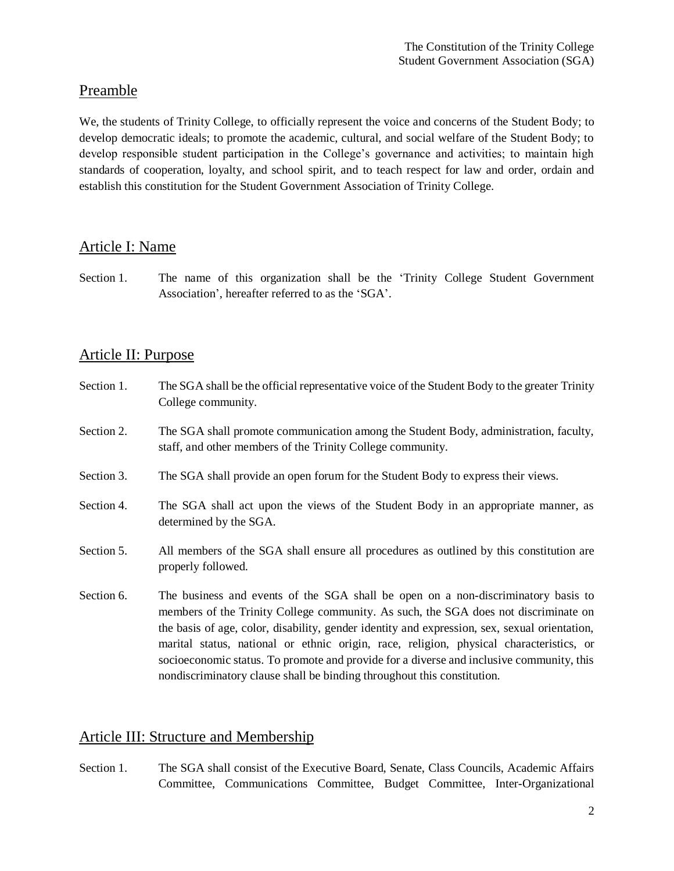# Preamble

We, the students of Trinity College, to officially represent the voice and concerns of the Student Body; to develop democratic ideals; to promote the academic, cultural, and social welfare of the Student Body; to develop responsible student participation in the College's governance and activities; to maintain high standards of cooperation, loyalty, and school spirit, and to teach respect for law and order, ordain and establish this constitution for the Student Government Association of Trinity College.

# Article I: Name

Section 1. The name of this organization shall be the 'Trinity College Student Government Association', hereafter referred to as the 'SGA'.

# Article II: Purpose

- Section 1. The SGA shall be the official representative voice of the Student Body to the greater Trinity College community.
- Section 2. The SGA shall promote communication among the Student Body, administration, faculty, staff, and other members of the Trinity College community.
- Section 3. The SGA shall provide an open forum for the Student Body to express their views.
- Section 4. The SGA shall act upon the views of the Student Body in an appropriate manner, as determined by the SGA.
- Section 5. All members of the SGA shall ensure all procedures as outlined by this constitution are properly followed.
- Section 6. The business and events of the SGA shall be open on a non-discriminatory basis to members of the Trinity College community. As such, the SGA does not discriminate on the basis of age, color, disability, gender identity and expression, sex, sexual orientation, marital status, national or ethnic origin, race, religion, physical characteristics, or socioeconomic status. To promote and provide for a diverse and inclusive community, this nondiscriminatory clause shall be binding throughout this constitution.

## Article III: Structure and Membership

Section 1. The SGA shall consist of the Executive Board, Senate, Class Councils, Academic Affairs Committee, Communications Committee, Budget Committee, Inter-Organizational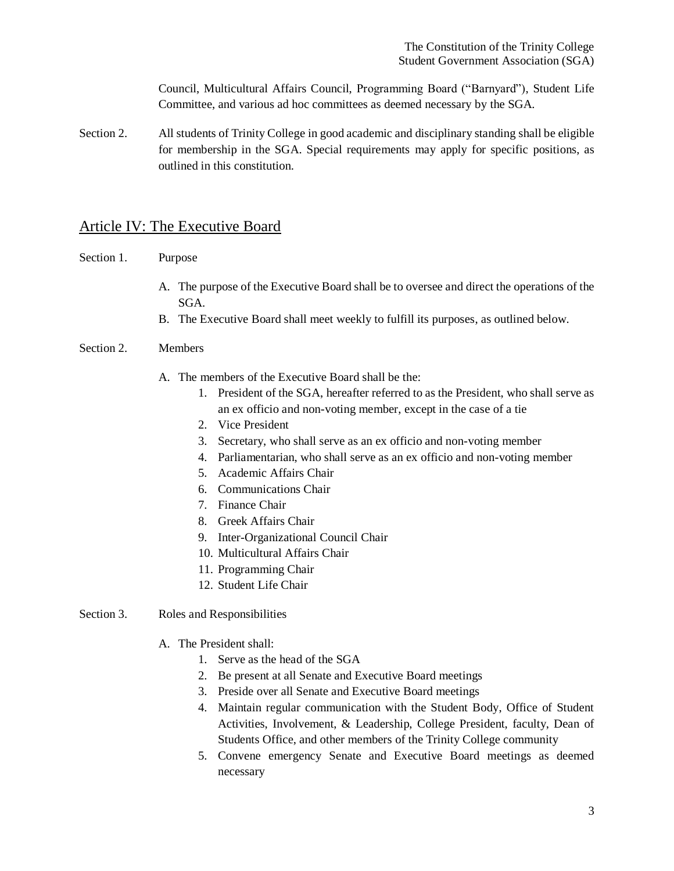Council, Multicultural Affairs Council, Programming Board ("Barnyard"), Student Life Committee, and various ad hoc committees as deemed necessary by the SGA.

Section 2. All students of Trinity College in good academic and disciplinary standing shall be eligible for membership in the SGA. Special requirements may apply for specific positions, as outlined in this constitution.

## Article IV: The Executive Board

- Section 1. Purpose
	- A. The purpose of the Executive Board shall be to oversee and direct the operations of the SGA.
	- B. The Executive Board shall meet weekly to fulfill its purposes, as outlined below.
- Section 2. Members
	- A. The members of the Executive Board shall be the:
		- 1. President of the SGA, hereafter referred to as the President, who shall serve as an ex officio and non-voting member, except in the case of a tie
		- 2. Vice President
		- 3. Secretary, who shall serve as an ex officio and non-voting member
		- 4. Parliamentarian, who shall serve as an ex officio and non-voting member
		- 5. Academic Affairs Chair
		- 6. Communications Chair
		- 7. Finance Chair
		- 8. Greek Affairs Chair
		- 9. Inter-Organizational Council Chair
		- 10. Multicultural Affairs Chair
		- 11. Programming Chair
		- 12. Student Life Chair
- Section 3. Roles and Responsibilities
	- A. The President shall:
		- 1. Serve as the head of the SGA
		- 2. Be present at all Senate and Executive Board meetings
		- 3. Preside over all Senate and Executive Board meetings
		- 4. Maintain regular communication with the Student Body, Office of Student Activities, Involvement, & Leadership, College President, faculty, Dean of Students Office, and other members of the Trinity College community
		- 5. Convene emergency Senate and Executive Board meetings as deemed necessary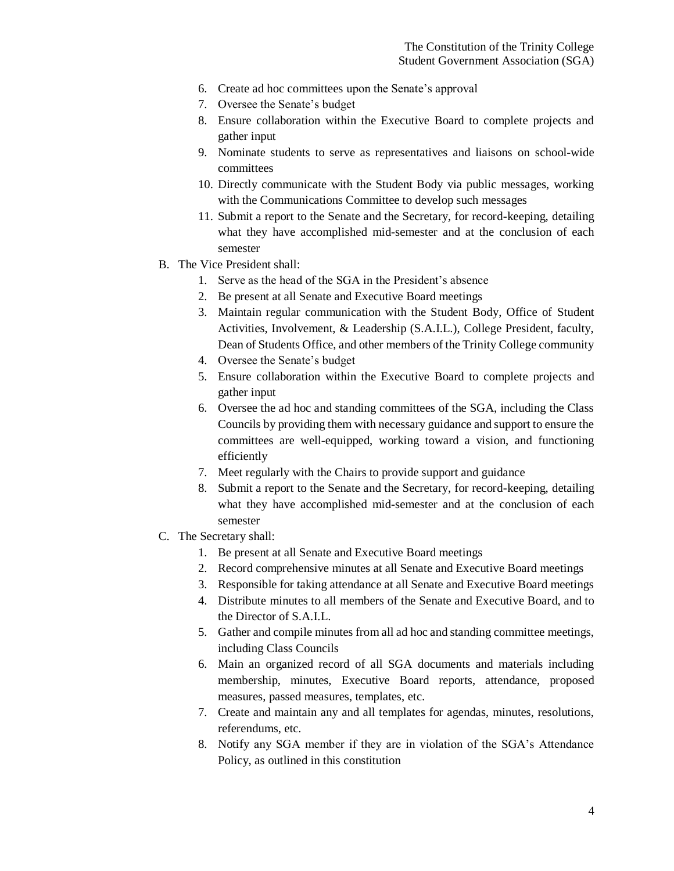- 6. Create ad hoc committees upon the Senate's approval
- 7. Oversee the Senate's budget
- 8. Ensure collaboration within the Executive Board to complete projects and gather input
- 9. Nominate students to serve as representatives and liaisons on school-wide committees
- 10. Directly communicate with the Student Body via public messages, working with the Communications Committee to develop such messages
- 11. Submit a report to the Senate and the Secretary, for record-keeping, detailing what they have accomplished mid-semester and at the conclusion of each semester
- B. The Vice President shall:
	- 1. Serve as the head of the SGA in the President's absence
	- 2. Be present at all Senate and Executive Board meetings
	- 3. Maintain regular communication with the Student Body, Office of Student Activities, Involvement, & Leadership (S.A.I.L.), College President, faculty, Dean of Students Office, and other members of the Trinity College community
	- 4. Oversee the Senate's budget
	- 5. Ensure collaboration within the Executive Board to complete projects and gather input
	- 6. Oversee the ad hoc and standing committees of the SGA, including the Class Councils by providing them with necessary guidance and support to ensure the committees are well-equipped, working toward a vision, and functioning efficiently
	- 7. Meet regularly with the Chairs to provide support and guidance
	- 8. Submit a report to the Senate and the Secretary, for record-keeping, detailing what they have accomplished mid-semester and at the conclusion of each semester
- C. The Secretary shall:
	- 1. Be present at all Senate and Executive Board meetings
	- 2. Record comprehensive minutes at all Senate and Executive Board meetings
	- 3. Responsible for taking attendance at all Senate and Executive Board meetings
	- 4. Distribute minutes to all members of the Senate and Executive Board, and to the Director of S.A.I.L.
	- 5. Gather and compile minutes from all ad hoc and standing committee meetings, including Class Councils
	- 6. Main an organized record of all SGA documents and materials including membership, minutes, Executive Board reports, attendance, proposed measures, passed measures, templates, etc.
	- 7. Create and maintain any and all templates for agendas, minutes, resolutions, referendums, etc.
	- 8. Notify any SGA member if they are in violation of the SGA's Attendance Policy, as outlined in this constitution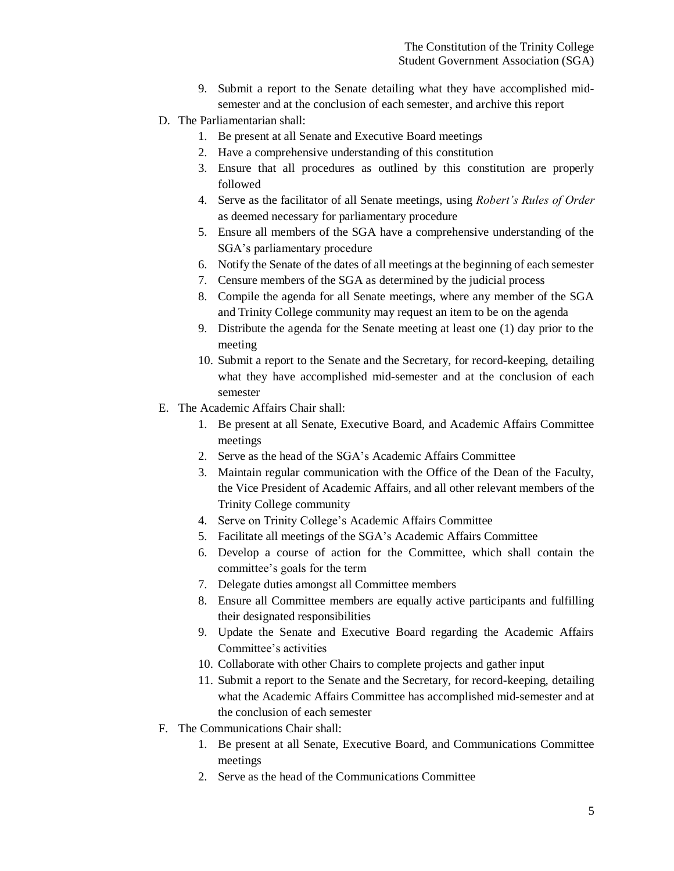- 9. Submit a report to the Senate detailing what they have accomplished midsemester and at the conclusion of each semester, and archive this report
- D. The Parliamentarian shall:
	- 1. Be present at all Senate and Executive Board meetings
	- 2. Have a comprehensive understanding of this constitution
	- 3. Ensure that all procedures as outlined by this constitution are properly followed
	- 4. Serve as the facilitator of all Senate meetings, using *Robert's Rules of Order* as deemed necessary for parliamentary procedure
	- 5. Ensure all members of the SGA have a comprehensive understanding of the SGA's parliamentary procedure
	- 6. Notify the Senate of the dates of all meetings at the beginning of each semester
	- 7. Censure members of the SGA as determined by the judicial process
	- 8. Compile the agenda for all Senate meetings, where any member of the SGA and Trinity College community may request an item to be on the agenda
	- 9. Distribute the agenda for the Senate meeting at least one (1) day prior to the meeting
	- 10. Submit a report to the Senate and the Secretary, for record-keeping, detailing what they have accomplished mid-semester and at the conclusion of each semester
- E. The Academic Affairs Chair shall:
	- 1. Be present at all Senate, Executive Board, and Academic Affairs Committee meetings
	- 2. Serve as the head of the SGA's Academic Affairs Committee
	- 3. Maintain regular communication with the Office of the Dean of the Faculty, the Vice President of Academic Affairs, and all other relevant members of the Trinity College community
	- 4. Serve on Trinity College's Academic Affairs Committee
	- 5. Facilitate all meetings of the SGA's Academic Affairs Committee
	- 6. Develop a course of action for the Committee, which shall contain the committee's goals for the term
	- 7. Delegate duties amongst all Committee members
	- 8. Ensure all Committee members are equally active participants and fulfilling their designated responsibilities
	- 9. Update the Senate and Executive Board regarding the Academic Affairs Committee's activities
	- 10. Collaborate with other Chairs to complete projects and gather input
	- 11. Submit a report to the Senate and the Secretary, for record-keeping, detailing what the Academic Affairs Committee has accomplished mid-semester and at the conclusion of each semester
- F. The Communications Chair shall:
	- 1. Be present at all Senate, Executive Board, and Communications Committee meetings
	- 2. Serve as the head of the Communications Committee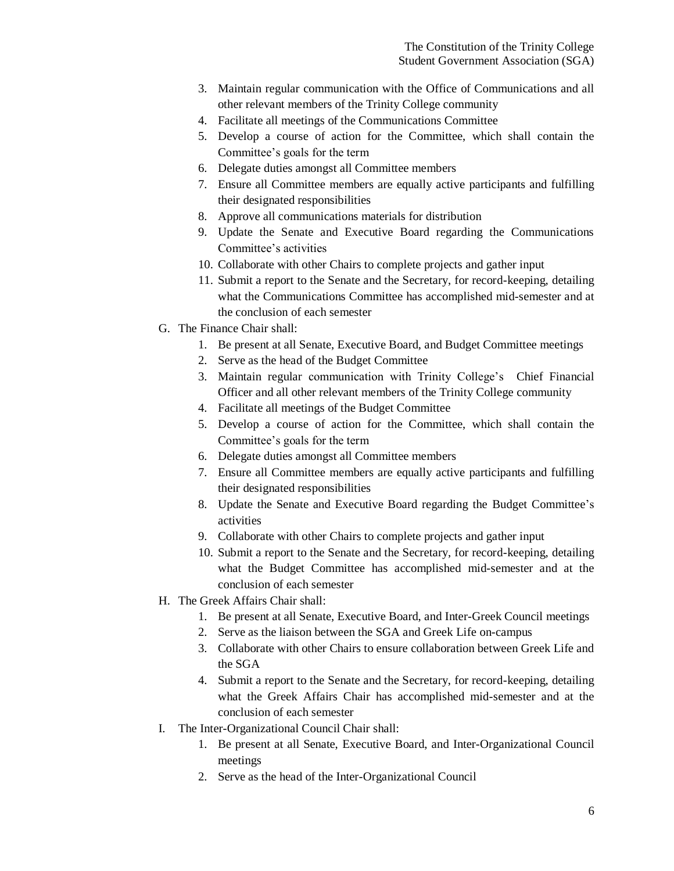- 3. Maintain regular communication with the Office of Communications and all other relevant members of the Trinity College community
- 4. Facilitate all meetings of the Communications Committee
- 5. Develop a course of action for the Committee, which shall contain the Committee's goals for the term
- 6. Delegate duties amongst all Committee members
- 7. Ensure all Committee members are equally active participants and fulfilling their designated responsibilities
- 8. Approve all communications materials for distribution
- 9. Update the Senate and Executive Board regarding the Communications Committee's activities
- 10. Collaborate with other Chairs to complete projects and gather input
- 11. Submit a report to the Senate and the Secretary, for record-keeping, detailing what the Communications Committee has accomplished mid-semester and at the conclusion of each semester
- G. The Finance Chair shall:
	- 1. Be present at all Senate, Executive Board, and Budget Committee meetings
	- 2. Serve as the head of the Budget Committee
	- 3. Maintain regular communication with Trinity College's Chief Financial Officer and all other relevant members of the Trinity College community
	- 4. Facilitate all meetings of the Budget Committee
	- 5. Develop a course of action for the Committee, which shall contain the Committee's goals for the term
	- 6. Delegate duties amongst all Committee members
	- 7. Ensure all Committee members are equally active participants and fulfilling their designated responsibilities
	- 8. Update the Senate and Executive Board regarding the Budget Committee's activities
	- 9. Collaborate with other Chairs to complete projects and gather input
	- 10. Submit a report to the Senate and the Secretary, for record-keeping, detailing what the Budget Committee has accomplished mid-semester and at the conclusion of each semester
- H. The Greek Affairs Chair shall:
	- 1. Be present at all Senate, Executive Board, and Inter-Greek Council meetings
	- 2. Serve as the liaison between the SGA and Greek Life on-campus
	- 3. Collaborate with other Chairs to ensure collaboration between Greek Life and the SGA
	- 4. Submit a report to the Senate and the Secretary, for record-keeping, detailing what the Greek Affairs Chair has accomplished mid-semester and at the conclusion of each semester
- I. The Inter-Organizational Council Chair shall:
	- 1. Be present at all Senate, Executive Board, and Inter-Organizational Council meetings
	- 2. Serve as the head of the Inter-Organizational Council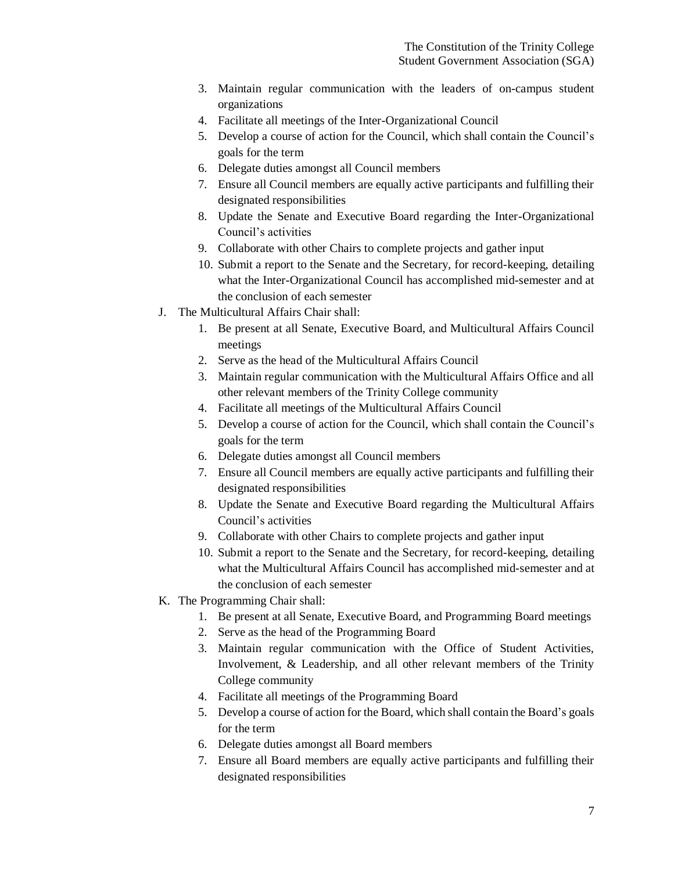- 3. Maintain regular communication with the leaders of on-campus student organizations
- 4. Facilitate all meetings of the Inter-Organizational Council
- 5. Develop a course of action for the Council, which shall contain the Council's goals for the term
- 6. Delegate duties amongst all Council members
- 7. Ensure all Council members are equally active participants and fulfilling their designated responsibilities
- 8. Update the Senate and Executive Board regarding the Inter-Organizational Council's activities
- 9. Collaborate with other Chairs to complete projects and gather input
- 10. Submit a report to the Senate and the Secretary, for record-keeping, detailing what the Inter-Organizational Council has accomplished mid-semester and at the conclusion of each semester
- J. The Multicultural Affairs Chair shall:
	- 1. Be present at all Senate, Executive Board, and Multicultural Affairs Council meetings
	- 2. Serve as the head of the Multicultural Affairs Council
	- 3. Maintain regular communication with the Multicultural Affairs Office and all other relevant members of the Trinity College community
	- 4. Facilitate all meetings of the Multicultural Affairs Council
	- 5. Develop a course of action for the Council, which shall contain the Council's goals for the term
	- 6. Delegate duties amongst all Council members
	- 7. Ensure all Council members are equally active participants and fulfilling their designated responsibilities
	- 8. Update the Senate and Executive Board regarding the Multicultural Affairs Council's activities
	- 9. Collaborate with other Chairs to complete projects and gather input
	- 10. Submit a report to the Senate and the Secretary, for record-keeping, detailing what the Multicultural Affairs Council has accomplished mid-semester and at the conclusion of each semester
- K. The Programming Chair shall:
	- 1. Be present at all Senate, Executive Board, and Programming Board meetings
	- 2. Serve as the head of the Programming Board
	- 3. Maintain regular communication with the Office of Student Activities, Involvement, & Leadership, and all other relevant members of the Trinity College community
	- 4. Facilitate all meetings of the Programming Board
	- 5. Develop a course of action for the Board, which shall contain the Board's goals for the term
	- 6. Delegate duties amongst all Board members
	- 7. Ensure all Board members are equally active participants and fulfilling their designated responsibilities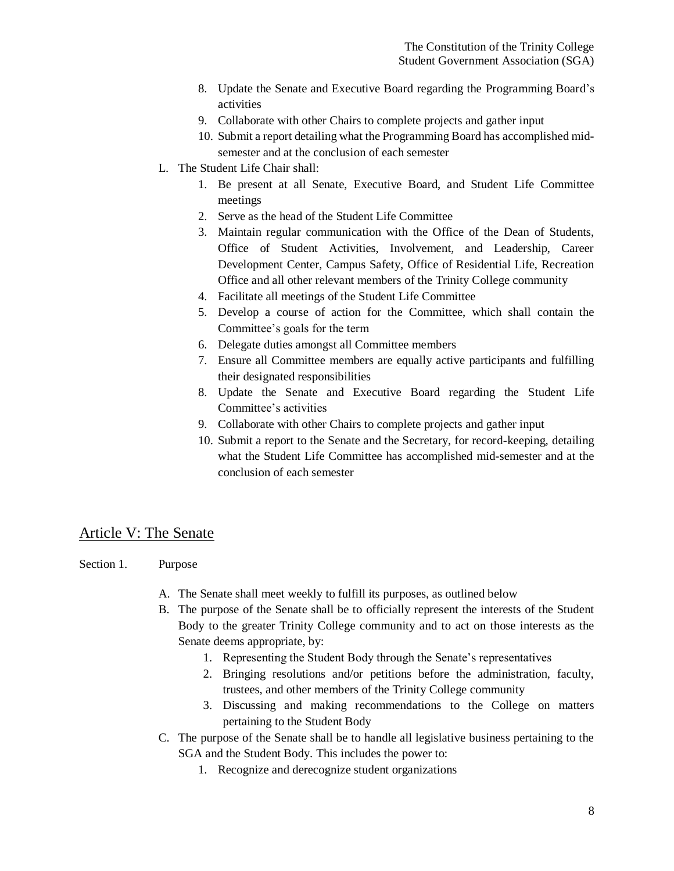- 8. Update the Senate and Executive Board regarding the Programming Board's activities
- 9. Collaborate with other Chairs to complete projects and gather input
- 10. Submit a report detailing what the Programming Board has accomplished midsemester and at the conclusion of each semester
- L. The Student Life Chair shall:
	- 1. Be present at all Senate, Executive Board, and Student Life Committee meetings
	- 2. Serve as the head of the Student Life Committee
	- 3. Maintain regular communication with the Office of the Dean of Students, Office of Student Activities, Involvement, and Leadership, Career Development Center, Campus Safety, Office of Residential Life, Recreation Office and all other relevant members of the Trinity College community
	- 4. Facilitate all meetings of the Student Life Committee
	- 5. Develop a course of action for the Committee, which shall contain the Committee's goals for the term
	- 6. Delegate duties amongst all Committee members
	- 7. Ensure all Committee members are equally active participants and fulfilling their designated responsibilities
	- 8. Update the Senate and Executive Board regarding the Student Life Committee's activities
	- 9. Collaborate with other Chairs to complete projects and gather input
	- 10. Submit a report to the Senate and the Secretary, for record-keeping, detailing what the Student Life Committee has accomplished mid-semester and at the conclusion of each semester

## Article V: The Senate

- Section 1. Purpose
	- A. The Senate shall meet weekly to fulfill its purposes, as outlined below
	- B. The purpose of the Senate shall be to officially represent the interests of the Student Body to the greater Trinity College community and to act on those interests as the Senate deems appropriate, by:
		- 1. Representing the Student Body through the Senate's representatives
		- 2. Bringing resolutions and/or petitions before the administration, faculty, trustees, and other members of the Trinity College community
		- 3. Discussing and making recommendations to the College on matters pertaining to the Student Body
	- C. The purpose of the Senate shall be to handle all legislative business pertaining to the SGA and the Student Body. This includes the power to:
		- 1. Recognize and derecognize student organizations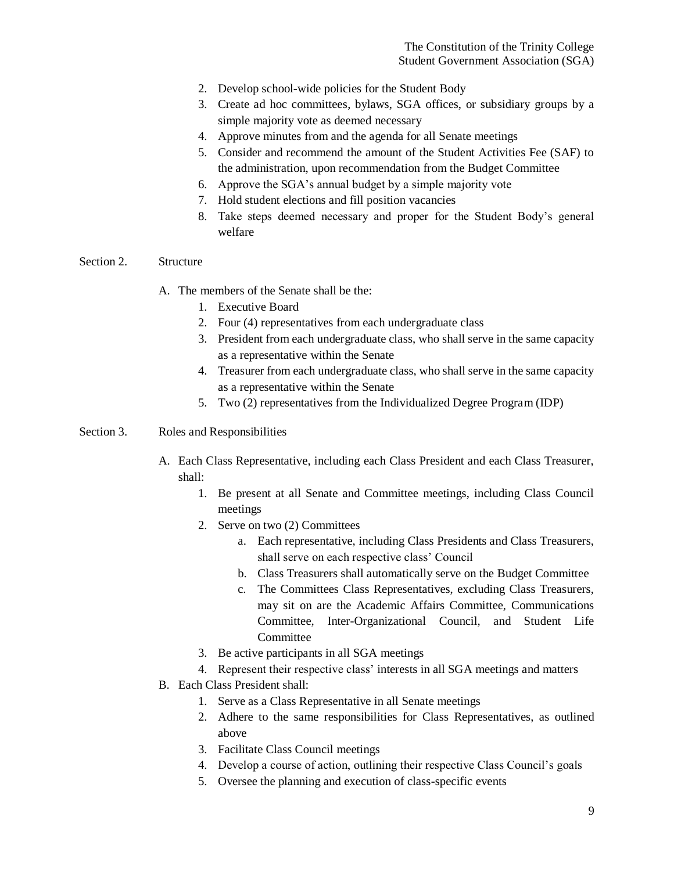- 2. Develop school-wide policies for the Student Body
- 3. Create ad hoc committees, bylaws, SGA offices, or subsidiary groups by a simple majority vote as deemed necessary
- 4. Approve minutes from and the agenda for all Senate meetings
- 5. Consider and recommend the amount of the Student Activities Fee (SAF) to the administration, upon recommendation from the Budget Committee
- 6. Approve the SGA's annual budget by a simple majority vote
- 7. Hold student elections and fill position vacancies
- 8. Take steps deemed necessary and proper for the Student Body's general welfare

#### Section 2. Structure

- A. The members of the Senate shall be the:
	- 1. Executive Board
	- 2. Four (4) representatives from each undergraduate class
	- 3. President from each undergraduate class, who shall serve in the same capacity as a representative within the Senate
	- 4. Treasurer from each undergraduate class, who shall serve in the same capacity as a representative within the Senate
	- 5. Two (2) representatives from the Individualized Degree Program (IDP)
- Section 3. Roles and Responsibilities
	- A. Each Class Representative, including each Class President and each Class Treasurer, shall:
		- 1. Be present at all Senate and Committee meetings, including Class Council meetings
		- 2. Serve on two (2) Committees
			- a. Each representative, including Class Presidents and Class Treasurers, shall serve on each respective class' Council
			- b. Class Treasurers shall automatically serve on the Budget Committee
			- c. The Committees Class Representatives, excluding Class Treasurers, may sit on are the Academic Affairs Committee, Communications Committee, Inter-Organizational Council, and Student Life Committee
		- 3. Be active participants in all SGA meetings
		- 4. Represent their respective class' interests in all SGA meetings and matters
	- B. Each Class President shall:
		- 1. Serve as a Class Representative in all Senate meetings
		- 2. Adhere to the same responsibilities for Class Representatives, as outlined above
		- 3. Facilitate Class Council meetings
		- 4. Develop a course of action, outlining their respective Class Council's goals
		- 5. Oversee the planning and execution of class-specific events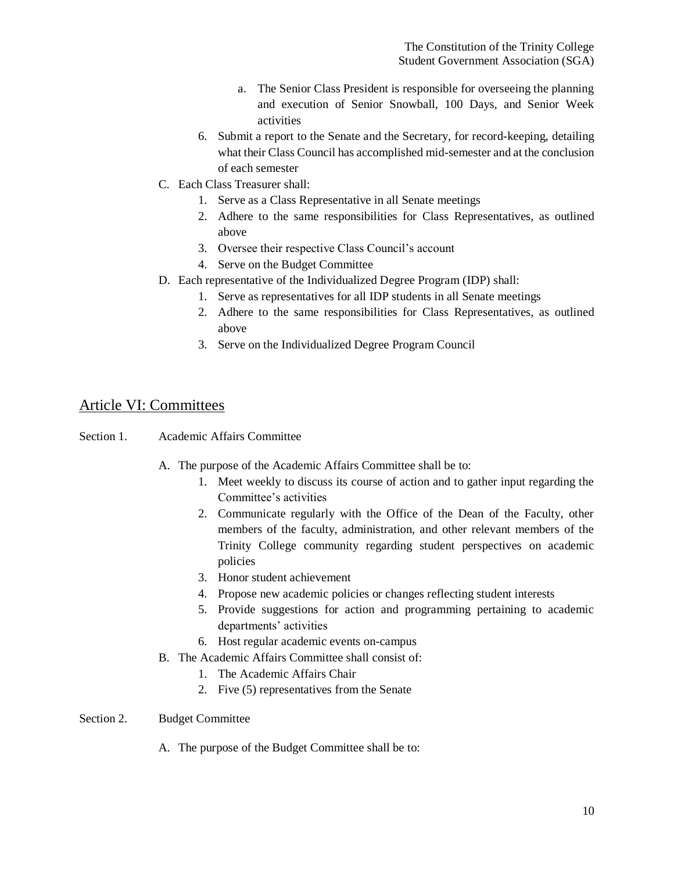- a. The Senior Class President is responsible for overseeing the planning and execution of Senior Snowball, 100 Days, and Senior Week activities
- 6. Submit a report to the Senate and the Secretary, for record-keeping, detailing what their Class Council has accomplished mid-semester and at the conclusion of each semester
- C. Each Class Treasurer shall:
	- 1. Serve as a Class Representative in all Senate meetings
	- 2. Adhere to the same responsibilities for Class Representatives, as outlined above
	- 3. Oversee their respective Class Council's account
	- 4. Serve on the Budget Committee
- D. Each representative of the Individualized Degree Program (IDP) shall:
	- 1. Serve as representatives for all IDP students in all Senate meetings
	- 2. Adhere to the same responsibilities for Class Representatives, as outlined above
	- 3. Serve on the Individualized Degree Program Council

## Article VI: Committees

- Section 1. Academic Affairs Committee
	- A. The purpose of the Academic Affairs Committee shall be to:
		- 1. Meet weekly to discuss its course of action and to gather input regarding the Committee's activities
		- 2. Communicate regularly with the Office of the Dean of the Faculty, other members of the faculty, administration, and other relevant members of the Trinity College community regarding student perspectives on academic policies
		- 3. Honor student achievement
		- 4. Propose new academic policies or changes reflecting student interests
		- 5. Provide suggestions for action and programming pertaining to academic departments' activities
		- 6. Host regular academic events on-campus
	- B. The Academic Affairs Committee shall consist of:
		- 1. The Academic Affairs Chair
		- 2. Five (5) representatives from the Senate
- Section 2. Budget Committee
	- A. The purpose of the Budget Committee shall be to: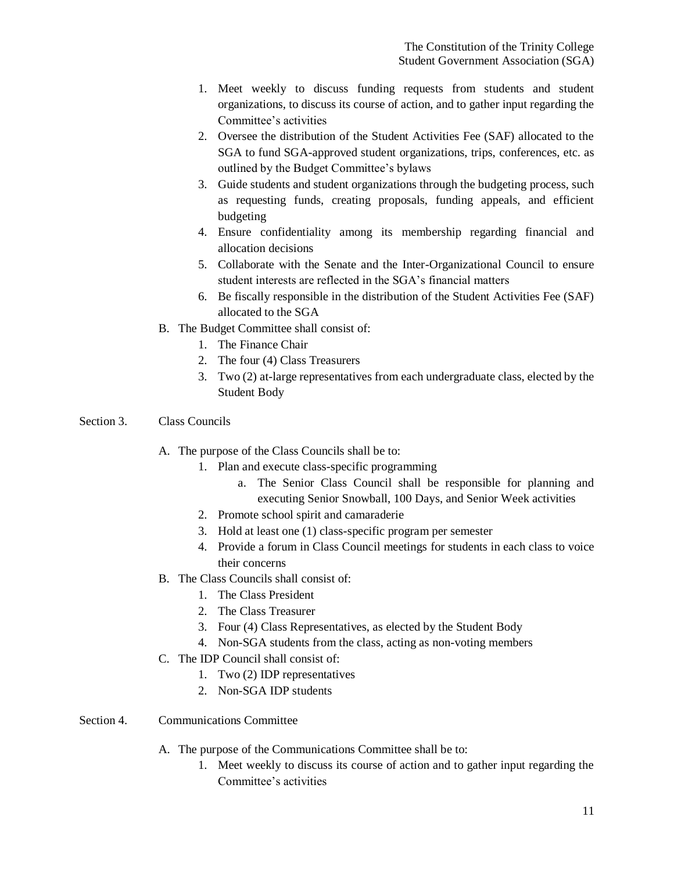- 1. Meet weekly to discuss funding requests from students and student organizations, to discuss its course of action, and to gather input regarding the Committee's activities
- 2. Oversee the distribution of the Student Activities Fee (SAF) allocated to the SGA to fund SGA-approved student organizations, trips, conferences, etc. as outlined by the Budget Committee's bylaws
- 3. Guide students and student organizations through the budgeting process, such as requesting funds, creating proposals, funding appeals, and efficient budgeting
- 4. Ensure confidentiality among its membership regarding financial and allocation decisions
- 5. Collaborate with the Senate and the Inter-Organizational Council to ensure student interests are reflected in the SGA's financial matters
- 6. Be fiscally responsible in the distribution of the Student Activities Fee (SAF) allocated to the SGA
- B. The Budget Committee shall consist of:
	- 1. The Finance Chair
	- 2. The four (4) Class Treasurers
	- 3. Two (2) at-large representatives from each undergraduate class, elected by the Student Body
- Section 3. Class Councils
	- A. The purpose of the Class Councils shall be to:
		- 1. Plan and execute class-specific programming
			- a. The Senior Class Council shall be responsible for planning and executing Senior Snowball, 100 Days, and Senior Week activities
		- 2. Promote school spirit and camaraderie
		- 3. Hold at least one (1) class-specific program per semester
		- 4. Provide a forum in Class Council meetings for students in each class to voice their concerns
	- B. The Class Councils shall consist of:
		- 1. The Class President
		- 2. The Class Treasurer
		- 3. Four (4) Class Representatives, as elected by the Student Body
		- 4. Non-SGA students from the class, acting as non-voting members
	- C. The IDP Council shall consist of:
		- 1. Two (2) IDP representatives
		- 2. Non-SGA IDP students
- Section 4. Communications Committee
	- A. The purpose of the Communications Committee shall be to:
		- 1. Meet weekly to discuss its course of action and to gather input regarding the Committee's activities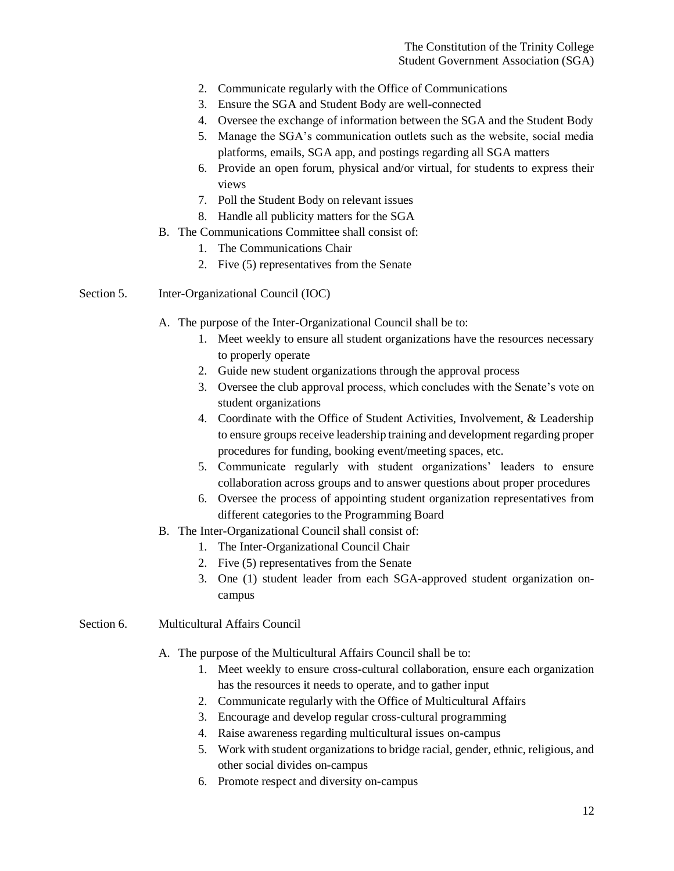- 2. Communicate regularly with the Office of Communications
- 3. Ensure the SGA and Student Body are well-connected
- 4. Oversee the exchange of information between the SGA and the Student Body
- 5. Manage the SGA's communication outlets such as the website, social media platforms, emails, SGA app, and postings regarding all SGA matters
- 6. Provide an open forum, physical and/or virtual, for students to express their views
- 7. Poll the Student Body on relevant issues
- 8. Handle all publicity matters for the SGA
- B. The Communications Committee shall consist of:
	- 1. The Communications Chair
	- 2. Five (5) representatives from the Senate
- Section 5. Inter-Organizational Council (IOC)
	- A. The purpose of the Inter-Organizational Council shall be to:
		- 1. Meet weekly to ensure all student organizations have the resources necessary to properly operate
			- 2. Guide new student organizations through the approval process
			- 3. Oversee the club approval process, which concludes with the Senate's vote on student organizations
			- 4. Coordinate with the Office of Student Activities, Involvement, & Leadership to ensure groups receive leadership training and development regarding proper procedures for funding, booking event/meeting spaces, etc.
			- 5. Communicate regularly with student organizations' leaders to ensure collaboration across groups and to answer questions about proper procedures
			- 6. Oversee the process of appointing student organization representatives from different categories to the Programming Board
	- B. The Inter-Organizational Council shall consist of:
		- 1. The Inter-Organizational Council Chair
		- 2. Five (5) representatives from the Senate
		- 3. One (1) student leader from each SGA-approved student organization oncampus
- Section 6. Multicultural Affairs Council
	- A. The purpose of the Multicultural Affairs Council shall be to:
		- 1. Meet weekly to ensure cross-cultural collaboration, ensure each organization has the resources it needs to operate, and to gather input
		- 2. Communicate regularly with the Office of Multicultural Affairs
		- 3. Encourage and develop regular cross-cultural programming
		- 4. Raise awareness regarding multicultural issues on-campus
		- 5. Work with student organizations to bridge racial, gender, ethnic, religious, and other social divides on-campus
		- 6. Promote respect and diversity on-campus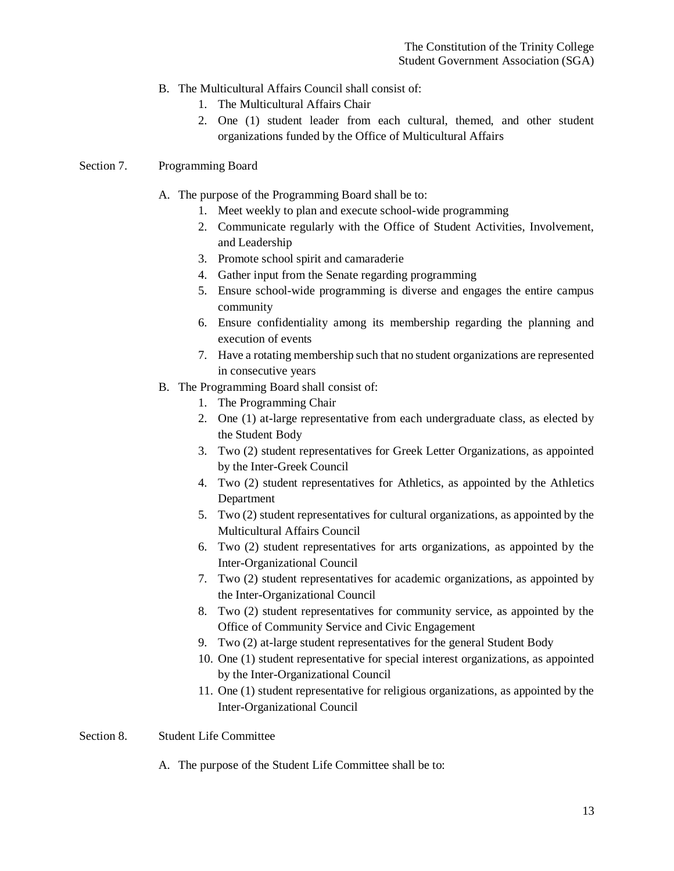- B. The Multicultural Affairs Council shall consist of:
	- 1. The Multicultural Affairs Chair
	- 2. One (1) student leader from each cultural, themed, and other student organizations funded by the Office of Multicultural Affairs

#### Section 7. Programming Board

- A. The purpose of the Programming Board shall be to:
	- 1. Meet weekly to plan and execute school-wide programming
	- 2. Communicate regularly with the Office of Student Activities, Involvement, and Leadership
	- 3. Promote school spirit and camaraderie
	- 4. Gather input from the Senate regarding programming
	- 5. Ensure school-wide programming is diverse and engages the entire campus community
	- 6. Ensure confidentiality among its membership regarding the planning and execution of events
	- 7. Have a rotating membership such that no student organizations are represented in consecutive years
- B. The Programming Board shall consist of:
	- 1. The Programming Chair
	- 2. One (1) at-large representative from each undergraduate class, as elected by the Student Body
	- 3. Two (2) student representatives for Greek Letter Organizations, as appointed by the Inter-Greek Council
	- 4. Two (2) student representatives for Athletics, as appointed by the Athletics Department
	- 5. Two (2) student representatives for cultural organizations, as appointed by the Multicultural Affairs Council
	- 6. Two (2) student representatives for arts organizations, as appointed by the Inter-Organizational Council
	- 7. Two (2) student representatives for academic organizations, as appointed by the Inter-Organizational Council
	- 8. Two (2) student representatives for community service, as appointed by the Office of Community Service and Civic Engagement
	- 9. Two (2) at-large student representatives for the general Student Body
	- 10. One (1) student representative for special interest organizations, as appointed by the Inter-Organizational Council
	- 11. One (1) student representative for religious organizations, as appointed by the Inter-Organizational Council

#### Section 8. Student Life Committee

A. The purpose of the Student Life Committee shall be to: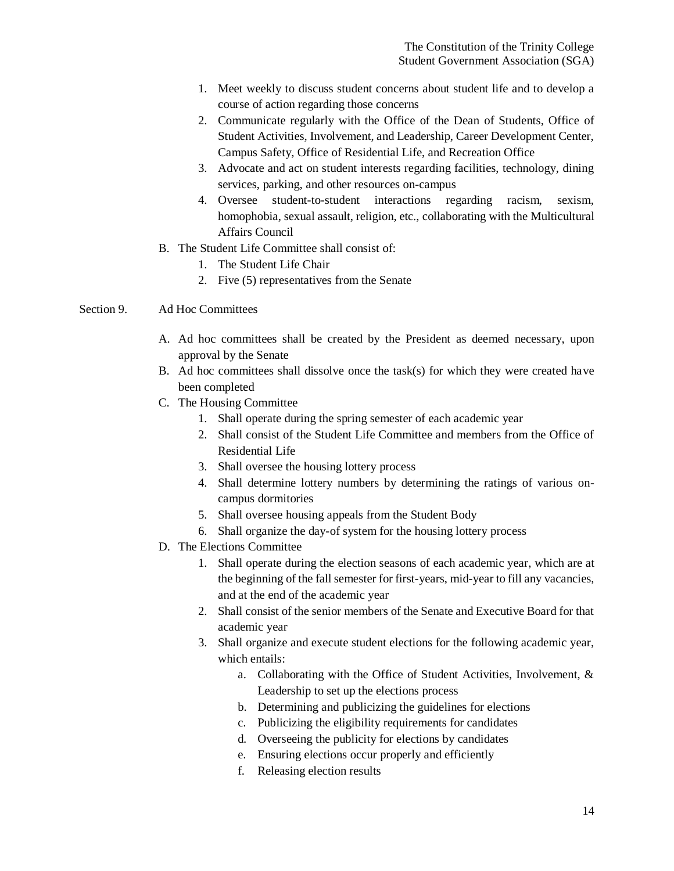- 1. Meet weekly to discuss student concerns about student life and to develop a course of action regarding those concerns
- 2. Communicate regularly with the Office of the Dean of Students, Office of Student Activities, Involvement, and Leadership, Career Development Center, Campus Safety, Office of Residential Life, and Recreation Office
- 3. Advocate and act on student interests regarding facilities, technology, dining services, parking, and other resources on-campus
- 4. Oversee student-to-student interactions regarding racism, sexism, homophobia, sexual assault, religion, etc., collaborating with the Multicultural Affairs Council
- B. The Student Life Committee shall consist of:
	- 1. The Student Life Chair
	- 2. Five (5) representatives from the Senate
- Section 9. Ad Hoc Committees
	- A. Ad hoc committees shall be created by the President as deemed necessary, upon approval by the Senate
	- B. Ad hoc committees shall dissolve once the task(s) for which they were created have been completed
	- C. The Housing Committee
		- 1. Shall operate during the spring semester of each academic year
		- 2. Shall consist of the Student Life Committee and members from the Office of Residential Life
		- 3. Shall oversee the housing lottery process
		- 4. Shall determine lottery numbers by determining the ratings of various oncampus dormitories
		- 5. Shall oversee housing appeals from the Student Body
		- 6. Shall organize the day-of system for the housing lottery process
	- D. The Elections Committee
		- 1. Shall operate during the election seasons of each academic year, which are at the beginning of the fall semester for first-years, mid-year to fill any vacancies, and at the end of the academic year
		- 2. Shall consist of the senior members of the Senate and Executive Board for that academic year
		- 3. Shall organize and execute student elections for the following academic year, which entails:
			- a. Collaborating with the Office of Student Activities, Involvement, & Leadership to set up the elections process
			- b. Determining and publicizing the guidelines for elections
			- c. Publicizing the eligibility requirements for candidates
			- d. Overseeing the publicity for elections by candidates
			- e. Ensuring elections occur properly and efficiently
			- f. Releasing election results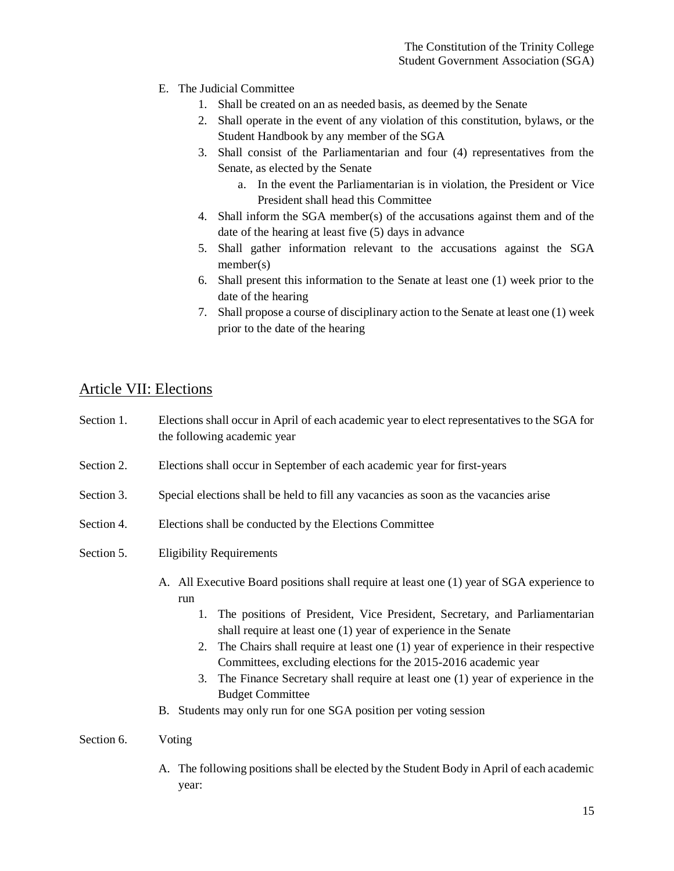- E. The Judicial Committee
	- 1. Shall be created on an as needed basis, as deemed by the Senate
	- 2. Shall operate in the event of any violation of this constitution, bylaws, or the Student Handbook by any member of the SGA
	- 3. Shall consist of the Parliamentarian and four (4) representatives from the Senate, as elected by the Senate
		- a. In the event the Parliamentarian is in violation, the President or Vice President shall head this Committee
	- 4. Shall inform the SGA member(s) of the accusations against them and of the date of the hearing at least five (5) days in advance
	- 5. Shall gather information relevant to the accusations against the SGA member(s)
	- 6. Shall present this information to the Senate at least one (1) week prior to the date of the hearing
	- 7. Shall propose a course of disciplinary action to the Senate at least one (1) week prior to the date of the hearing

# Article VII: Elections

| Section 1. | Elections shall occur in April of each academic year to elect representatives to the SGA for<br>the following academic year                                                                                                                                                                                                                                                                                                                                                                                                                                                                           |  |  |
|------------|-------------------------------------------------------------------------------------------------------------------------------------------------------------------------------------------------------------------------------------------------------------------------------------------------------------------------------------------------------------------------------------------------------------------------------------------------------------------------------------------------------------------------------------------------------------------------------------------------------|--|--|
| Section 2. | Elections shall occur in September of each academic year for first-years                                                                                                                                                                                                                                                                                                                                                                                                                                                                                                                              |  |  |
| Section 3. | Special elections shall be held to fill any vacancies as soon as the vacancies arise                                                                                                                                                                                                                                                                                                                                                                                                                                                                                                                  |  |  |
| Section 4. | Elections shall be conducted by the Elections Committee                                                                                                                                                                                                                                                                                                                                                                                                                                                                                                                                               |  |  |
| Section 5. | <b>Eligibility Requirements</b>                                                                                                                                                                                                                                                                                                                                                                                                                                                                                                                                                                       |  |  |
|            | A. All Executive Board positions shall require at least one (1) year of SGA experience to<br>run<br>1. The positions of President, Vice President, Secretary, and Parliamentarian<br>shall require at least one (1) year of experience in the Senate<br>2. The Chairs shall require at least one (1) year of experience in their respective<br>Committees, excluding elections for the 2015-2016 academic year<br>The Finance Secretary shall require at least one (1) year of experience in the<br>3.<br><b>Budget Committee</b><br>B. Students may only run for one SGA position per voting session |  |  |
| Section 6. | Voting                                                                                                                                                                                                                                                                                                                                                                                                                                                                                                                                                                                                |  |  |
|            | The following positions shall be elected by the Student Body in April of each academic<br>A.<br>year:                                                                                                                                                                                                                                                                                                                                                                                                                                                                                                 |  |  |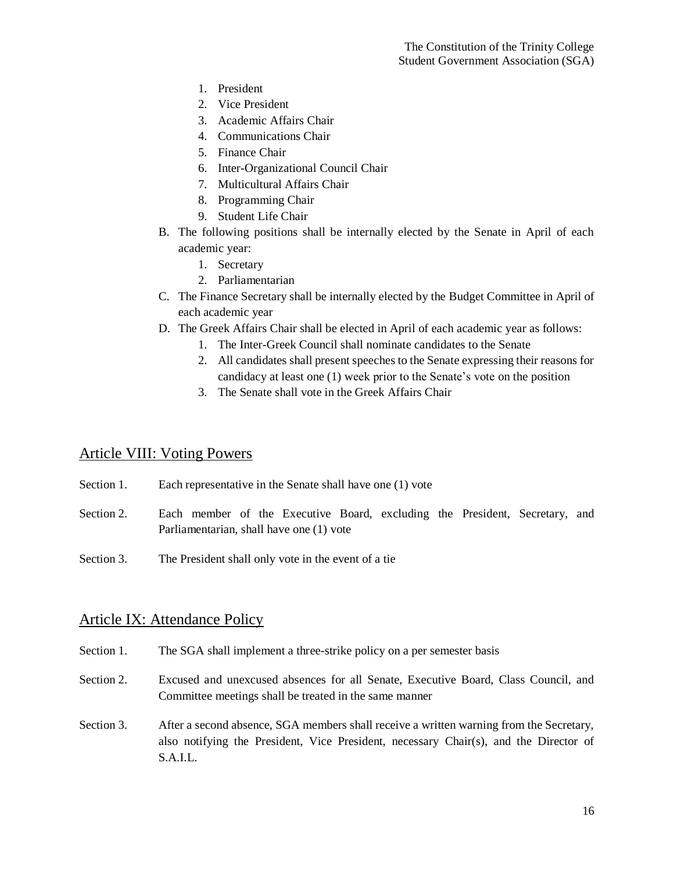- 1. President
- 2. Vice President
- 3. Academic Affairs Chair
- 4. Communications Chair
- 5. Finance Chair
- 6. Inter-Organizational Council Chair
- 7. Multicultural Affairs Chair
- 8. Programming Chair
- 9. Student Life Chair
- B. The following positions shall be internally elected by the Senate in April of each academic year:
	- 1. Secretary
	- 2. Parliamentarian
- C. The Finance Secretary shall be internally elected by the Budget Committee in April of each academic year
- D. The Greek Affairs Chair shall be elected in April of each academic year as follows:
	- 1. The Inter-Greek Council shall nominate candidates to the Senate
	- 2. All candidates shall present speeches to the Senate expressing their reasons for candidacy at least one (1) week prior to the Senate's vote on the position
	- 3. The Senate shall vote in the Greek Affairs Chair

## Article VIII: Voting Powers

- Section 1. Each representative in the Senate shall have one (1) vote
- Section 2. Each member of the Executive Board, excluding the President, Secretary, and Parliamentarian, shall have one (1) vote
- Section 3. The President shall only vote in the event of a tie

## Article IX: Attendance Policy

- Section 1. The SGA shall implement a three-strike policy on a per semester basis
- Section 2. Excused and unexcused absences for all Senate, Executive Board, Class Council, and Committee meetings shall be treated in the same manner
- Section 3. After a second absence, SGA members shall receive a written warning from the Secretary, also notifying the President, Vice President, necessary Chair(s), and the Director of S.A.I.L.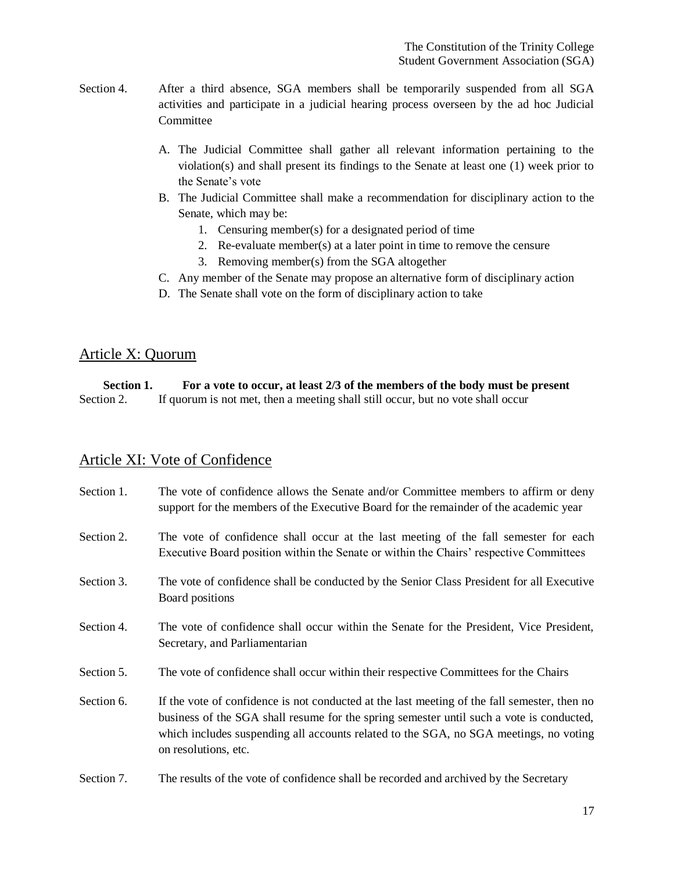- Section 4. After a third absence, SGA members shall be temporarily suspended from all SGA activities and participate in a judicial hearing process overseen by the ad hoc Judicial Committee
	- A. The Judicial Committee shall gather all relevant information pertaining to the violation(s) and shall present its findings to the Senate at least one (1) week prior to the Senate's vote
	- B. The Judicial Committee shall make a recommendation for disciplinary action to the Senate, which may be:
		- 1. Censuring member(s) for a designated period of time
		- 2. Re-evaluate member(s) at a later point in time to remove the censure
		- 3. Removing member(s) from the SGA altogether
	- C. Any member of the Senate may propose an alternative form of disciplinary action
	- D. The Senate shall vote on the form of disciplinary action to take

## Article X: Quorum

| Section 1. | For a vote to occur, at least 2/3 of the members of the body must be present    |
|------------|---------------------------------------------------------------------------------|
| Section 2. | If quorum is not met, then a meeting shall still occur, but no vote shall occur |

## Article XI: Vote of Confidence

| Section 1. | The vote of confidence allows the Senate and/or Committee members to affirm or deny<br>support for the members of the Executive Board for the remainder of the academic year                                                                                                                              |
|------------|-----------------------------------------------------------------------------------------------------------------------------------------------------------------------------------------------------------------------------------------------------------------------------------------------------------|
| Section 2. | The vote of confidence shall occur at the last meeting of the fall semester for each<br>Executive Board position within the Senate or within the Chairs' respective Committees                                                                                                                            |
| Section 3. | The vote of confidence shall be conducted by the Senior Class President for all Executive<br>Board positions                                                                                                                                                                                              |
| Section 4. | The vote of confidence shall occur within the Senate for the President, Vice President,<br>Secretary, and Parliamentarian                                                                                                                                                                                 |
| Section 5. | The vote of confidence shall occur within their respective Committees for the Chairs                                                                                                                                                                                                                      |
| Section 6. | If the vote of confidence is not conducted at the last meeting of the fall semester, then no<br>business of the SGA shall resume for the spring semester until such a vote is conducted,<br>which includes suspending all accounts related to the SGA, no SGA meetings, no voting<br>on resolutions, etc. |
| Section 7. | The results of the vote of confidence shall be recorded and archived by the Secretary                                                                                                                                                                                                                     |